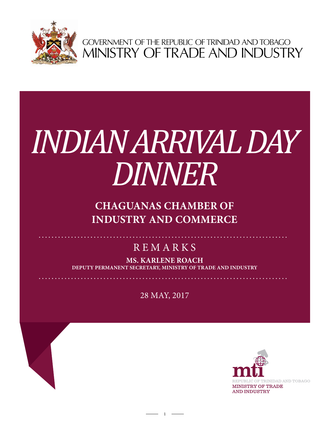

GOVERNMENT OF THE REPUBLIC OF TRINIDAD AND TOBAGO<br>MINISTRY OF TRADE AND INDUSTRY

# *INDIAN ARRIVAL DAY DINNER*

## **CHAGUANAS CHAMBER OF INDUSTRY AND COMMERCE**

## **REMARKS**

**MS. KARLENE ROACH DEPUTY PERMANENT SECRETARY, Ministry of Trade and Industry**

28 MAY, 2017

 $1 -$ 

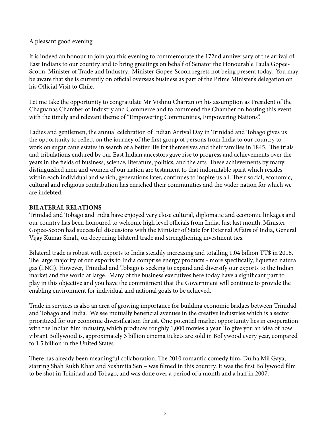A pleasant good evening.

It is indeed an honour to join you this evening to commemorate the 172nd anniversary of the arrival of East Indians to our country and to bring greetings on behalf of Senator the Honourable Paula Gopee-Scoon, Minister of Trade and Industry. Minister Gopee-Scoon regrets not being present today. You may be aware that she is currently on official overseas business as part of the Prime Minister's delegation on his Official Visit to Chile.

Let me take the opportunity to congratulate Mr Vishnu Charran on his assumption as President of the Chaguanas Chamber of Industry and Commerce and to commend the Chamber on hosting this event with the timely and relevant theme of "Empowering Communities, Empowering Nations".

Ladies and gentlemen, the annual celebration of Indian Arrival Day in Trinidad and Tobago gives us the opportunity to reflect on the journey of the first group of persons from India to our country to work on sugar cane estates in search of a better life for themselves and their families in 1845. The trials and tribulations endured by our East Indian ancestors gave rise to progress and achievements over the years in the fields of business, science, literature, politics, and the arts. These achievements by many distinguished men and women of our nation are testament to that indomitable spirit which resides within each individual and which, generations later, continues to inspire us all. Their social, economic, cultural and religious contribution has enriched their communities and the wider nation for which we are indebted.

#### **Bilateral Relations**

Trinidad and Tobago and India have enjoyed very close cultural, diplomatic and economic linkages and our country has been honoured to welcome high level officials from India. Just last month, Minister Gopee-Scoon had successful discussions with the Minister of State for External Affairs of India, General Vijay Kumar Singh, on deepening bilateral trade and strengthening investment ties.

Bilateral trade is robust with exports to India steadily increasing and totalling 1.04 billion TT\$ in 2016. The large majority of our exports to India comprise energy products - more specifically, liquefied natural gas (LNG). However, Trinidad and Tobago is seeking to expand and diversify our exports to the Indian market and the world at large. Many of the business executives here today have a significant part to play in this objective and you have the commitment that the Government will continue to provide the enabling environment for individual and national goals to be achieved.

Trade in services is also an area of growing importance for building economic bridges between Trinidad and Tobago and India. We see mutually beneficial avenues in the creative industries which is a sector prioritized for our economic diversification thrust. One potential market opportunity lies in cooperation with the Indian film industry, which produces roughly 1,000 movies a year. To give you an idea of how vibrant Bollywood is, approximately 3 billion cinema tickets are sold in Bollywood every year, compared to 1.5 billion in the United States.

There has already been meaningful collaboration. The 2010 romantic comedy film, Dulha Mil Gaya, starring Shah Rukh Khan and Sushmita Sen – was filmed in this country. It was the first Bollywood film to be shot in Trinidad and Tobago, and was done over a period of a month and a half in 2007.

 $-$  2  $-$